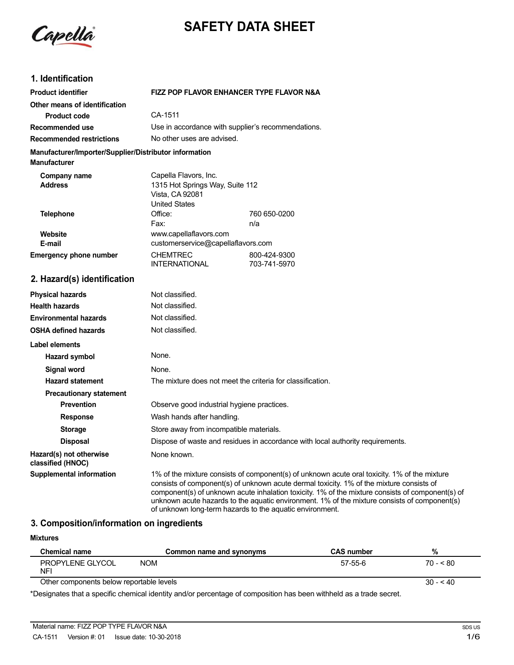

# **SAFETY DATA SHEET**

### **1. Identification**

| <b>Product identifier</b>                                                     | <b>FIZZ POP FLAVOR ENHANCER TYPE FLAVOR N&amp;A</b>                                                 |                                                                                |  |
|-------------------------------------------------------------------------------|-----------------------------------------------------------------------------------------------------|--------------------------------------------------------------------------------|--|
| Other means of identification                                                 |                                                                                                     |                                                                                |  |
| <b>Product code</b>                                                           | CA-1511                                                                                             |                                                                                |  |
| Recommended use                                                               | Use in accordance with supplier's recommendations.                                                  |                                                                                |  |
| <b>Recommended restrictions</b>                                               | No other uses are advised.                                                                          |                                                                                |  |
| Manufacturer/Importer/Supplier/Distributor information<br><b>Manufacturer</b> |                                                                                                     |                                                                                |  |
| Company name<br><b>Address</b>                                                | Capella Flavors, Inc.<br>1315 Hot Springs Way, Suite 112<br>Vista, CA 92081<br><b>United States</b> |                                                                                |  |
| <b>Telephone</b>                                                              | Office:                                                                                             | 760 650-0200                                                                   |  |
|                                                                               | Fax:                                                                                                | n/a                                                                            |  |
| Website                                                                       | www.capellaflavors.com                                                                              |                                                                                |  |
| E-mail                                                                        | customerservice@capellaflavors.com                                                                  |                                                                                |  |
| <b>Emergency phone number</b>                                                 | <b>CHEMTREC</b><br><b>INTERNATIONAL</b>                                                             | 800-424-9300<br>703-741-5970                                                   |  |
| 2. Hazard(s) identification                                                   |                                                                                                     |                                                                                |  |
| <b>Physical hazards</b>                                                       | Not classified.                                                                                     |                                                                                |  |
| <b>Health hazards</b>                                                         | Not classified.                                                                                     |                                                                                |  |
| <b>Environmental hazards</b>                                                  | Not classified.                                                                                     |                                                                                |  |
| <b>OSHA defined hazards</b>                                                   | Not classified.                                                                                     |                                                                                |  |
| Label elements                                                                |                                                                                                     |                                                                                |  |
| <b>Hazard symbol</b>                                                          | None.                                                                                               |                                                                                |  |
| <b>Signal word</b>                                                            | None.                                                                                               |                                                                                |  |
| <b>Hazard statement</b>                                                       | The mixture does not meet the criteria for classification.                                          |                                                                                |  |
| <b>Precautionary statement</b>                                                |                                                                                                     |                                                                                |  |
| <b>Prevention</b>                                                             | Observe good industrial hygiene practices.                                                          |                                                                                |  |
| <b>Response</b>                                                               | Wash hands after handling.                                                                          |                                                                                |  |
| <b>Storage</b>                                                                | Store away from incompatible materials.                                                             |                                                                                |  |
| <b>Disposal</b>                                                               |                                                                                                     | Dispose of waste and residues in accordance with local authority requirements. |  |
| Hazard(s) not otherwise<br>classified (HNOC)                                  | None known.                                                                                         |                                                                                |  |
|                                                                               | $\sim$ $\sim$                                                                                       | $\cdots$                                                                       |  |

**Supplemental information** 1% of the mixture consists of component(s) of unknown acute oral toxicity. 1% of the mixture consists of component(s) of unknown acute dermal toxicity. 1% of the mixture consists of component(s) of unknown acute inhalation toxicity. 1% of the mixture consists of component(s) of unknown acute hazards to the aquatic environment. 1% of the mixture consists of component(s) of unknown long-term hazards to the aquatic environment.

#### **3. Composition/information on ingredients**

**Mixtures**

| <b>Chemical name</b>                                                                                            | Common name and synonyms | <b>CAS number</b> | %          |
|-----------------------------------------------------------------------------------------------------------------|--------------------------|-------------------|------------|
| PROPYLENE GLYCOL<br>NFI                                                                                         | <b>NOM</b>               | $57-55-6$         | $70 - 580$ |
| Other components below reportable levels                                                                        |                          |                   | $30 - 540$ |
| .¥Deelaastes tist soosellis eisaalsel leistlise alleaasassatsas of soaassation hoo hood allikeld oo sotas eisaa |                          |                   |            |

\*Designates that a specific chemical identity and/or percentage of composition has been withheld as a trade secret.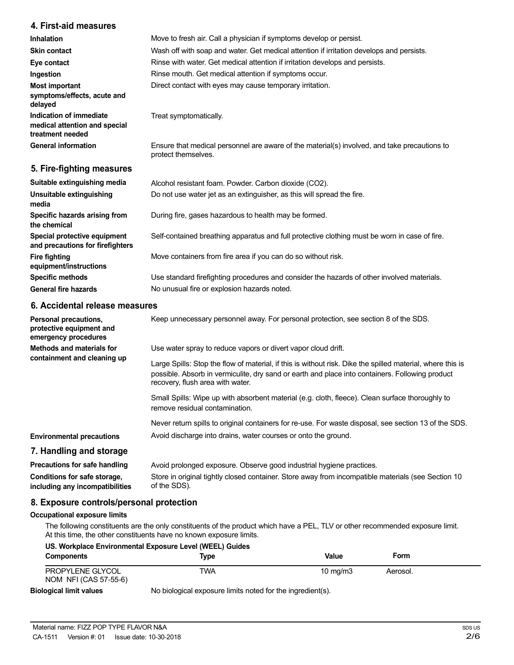### **4. First-aid measures**

| Inhalation                                                                   | Move to fresh air. Call a physician if symptoms develop or persist.                                                 |
|------------------------------------------------------------------------------|---------------------------------------------------------------------------------------------------------------------|
| <b>Skin contact</b>                                                          | Wash off with soap and water. Get medical attention if irritation develops and persists.                            |
| Eye contact                                                                  | Rinse with water. Get medical attention if irritation develops and persists.                                        |
| Ingestion                                                                    | Rinse mouth. Get medical attention if symptoms occur.                                                               |
| <b>Most important</b><br>symptoms/effects, acute and<br>delayed              | Direct contact with eyes may cause temporary irritation.                                                            |
| Indication of immediate<br>medical attention and special<br>treatment needed | Treat symptomatically.                                                                                              |
| <b>General information</b>                                                   | Ensure that medical personnel are aware of the material(s) involved, and take precautions to<br>protect themselves. |
| 5. Fire-fighting measures                                                    |                                                                                                                     |

| Suitable extinguishing media                                     | Alcohol resistant foam. Powder. Carbon dioxide (CO2).                                         |
|------------------------------------------------------------------|-----------------------------------------------------------------------------------------------|
| Unsuitable extinguishing<br>media                                | Do not use water jet as an extinguisher, as this will spread the fire.                        |
| Specific hazards arising from<br>the chemical                    | During fire, gases hazardous to health may be formed.                                         |
| Special protective equipment<br>and precautions for firefighters | Self-contained breathing apparatus and full protective clothing must be worn in case of fire. |
| <b>Fire fighting</b><br>equipment/instructions                   | Move containers from fire area if you can do so without risk.                                 |
| <b>Specific methods</b>                                          | Use standard firefighting procedures and consider the hazards of other involved materials.    |
| <b>General fire hazards</b>                                      | No unusual fire or explosion hazards noted.                                                   |
|                                                                  |                                                                                               |

### **6. Accidental release measures**

| Personal precautions,<br>protective equipment and<br>emergency procedures | Keep unnecessary personnel away. For personal protection, see section 8 of the SDS.                                                                                                                                                               |  |
|---------------------------------------------------------------------------|---------------------------------------------------------------------------------------------------------------------------------------------------------------------------------------------------------------------------------------------------|--|
| Methods and materials for                                                 | Use water spray to reduce vapors or divert vapor cloud drift.                                                                                                                                                                                     |  |
| containment and cleaning up                                               | Large Spills: Stop the flow of material, if this is without risk. Dike the spilled material, where this is<br>possible. Absorb in vermiculite, dry sand or earth and place into containers. Following product<br>recovery, flush area with water. |  |
|                                                                           | Small Spills: Wipe up with absorbent material (e.g. cloth, fleece). Clean surface thoroughly to<br>remove residual contamination.                                                                                                                 |  |
|                                                                           | Never return spills to original containers for re-use. For waste disposal, see section 13 of the SDS.                                                                                                                                             |  |
| <b>Environmental precautions</b>                                          | Avoid discharge into drains, water courses or onto the ground.                                                                                                                                                                                    |  |
| 7. Handling and storage                                                   |                                                                                                                                                                                                                                                   |  |
| Precautions for safe handling                                             | Avoid prolonged exposure. Observe good industrial hygiene practices.                                                                                                                                                                              |  |
| Conditions for safe storage,<br>including any incompatibilities           | Store in original tightly closed container. Store away from incompatible materials (see Section 10<br>of the SDS).                                                                                                                                |  |

### **8. Exposure controls/personal protection**

#### **Occupational exposure limits**

The following constituents are the only constituents of the product which have a PEL, TLV or other recommended exposure limit. At this time, the other constituents have no known exposure limits.

|                                           | US. Workplace Environmental Exposure Level (WEEL) Guides   |            |          |  |
|-------------------------------------------|------------------------------------------------------------|------------|----------|--|
| <b>Components</b>                         | Tvpe                                                       | Value      | Form     |  |
| PROPYLENE GLYCOL<br>NOM NFI (CAS 57-55-6) | TWA                                                        | 10 $mg/m3$ | Aerosol. |  |
| <b>Biological limit values</b>            | No biological exposure limits noted for the ingredient(s). |            |          |  |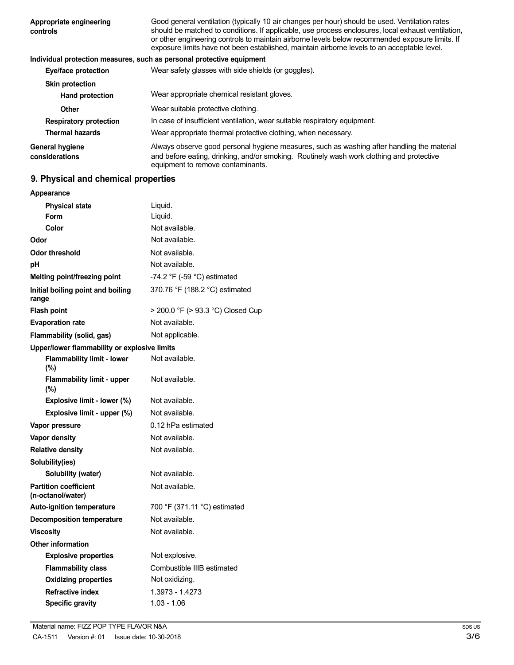| Appropriate engineering<br>controls      | Good general ventilation (typically 10 air changes per hour) should be used. Ventilation rates<br>should be matched to conditions. If applicable, use process enclosures, local exhaust ventilation,<br>or other engineering controls to maintain airborne levels below recommended exposure limits. If<br>exposure limits have not been established, maintain airborne levels to an acceptable level. |
|------------------------------------------|--------------------------------------------------------------------------------------------------------------------------------------------------------------------------------------------------------------------------------------------------------------------------------------------------------------------------------------------------------------------------------------------------------|
|                                          | Individual protection measures, such as personal protective equipment                                                                                                                                                                                                                                                                                                                                  |
| Eye/face protection                      | Wear safety glasses with side shields (or goggles).                                                                                                                                                                                                                                                                                                                                                    |
| <b>Skin protection</b>                   |                                                                                                                                                                                                                                                                                                                                                                                                        |
| <b>Hand protection</b>                   | Wear appropriate chemical resistant gloves.                                                                                                                                                                                                                                                                                                                                                            |
| Other                                    | Wear suitable protective clothing.                                                                                                                                                                                                                                                                                                                                                                     |
| <b>Respiratory protection</b>            | In case of insufficient ventilation, wear suitable respiratory equipment.                                                                                                                                                                                                                                                                                                                              |
| <b>Thermal hazards</b>                   | Wear appropriate thermal protective clothing, when necessary.                                                                                                                                                                                                                                                                                                                                          |
| <b>General hygiene</b><br>considerations | Always observe good personal hygiene measures, such as washing after handling the material<br>and before eating, drinking, and/or smoking. Routinely wash work clothing and protective<br>equipment to remove contaminants.                                                                                                                                                                            |

# **9. Physical and chemical properties**

| Appearance                                        |                                               |
|---------------------------------------------------|-----------------------------------------------|
| <b>Physical state</b>                             | Liquid.                                       |
| Form                                              | Liquid.                                       |
| Color                                             | Not available.                                |
| Odor                                              | Not available.                                |
| <b>Odor threshold</b>                             | Not available.                                |
| рH                                                | Not available.                                |
| Melting point/freezing point                      | -74.2 $\degree$ F (-59 $\degree$ C) estimated |
| Initial boiling point and boiling<br>range        | 370.76 °F (188.2 °C) estimated                |
| <b>Flash point</b>                                | > 200.0 °F (> 93.3 °C) Closed Cup             |
| <b>Evaporation rate</b>                           | Not available.                                |
| Flammability (solid, gas)                         | Not applicable.                               |
| Upper/lower flammability or explosive limits      |                                               |
| <b>Flammability limit - lower</b><br>(%)          | Not available.                                |
| <b>Flammability limit - upper</b><br>$(\% )$      | Not available.                                |
| Explosive limit - lower (%)                       | Not available.                                |
| Explosive limit - upper (%)                       | Not available.                                |
| Vapor pressure                                    | 0.12 hPa estimated                            |
| Vapor density                                     | Not available.                                |
| <b>Relative density</b>                           | Not available.                                |
| Solubility(ies)                                   |                                               |
| Solubility (water)                                | Not available.                                |
| <b>Partition coefficient</b><br>(n-octanol/water) | Not available.                                |
| <b>Auto-ignition temperature</b>                  | 700 °F (371.11 °C) estimated                  |
| <b>Decomposition temperature</b>                  | Not available.                                |
| <b>Viscosity</b>                                  | Not available.                                |
| Other information                                 |                                               |
| <b>Explosive properties</b>                       | Not explosive.                                |
| <b>Flammability class</b>                         | Combustible IIIB estimated                    |
| <b>Oxidizing properties</b>                       | Not oxidizing.                                |
| <b>Refractive index</b>                           | 1.3973 - 1.4273                               |
| <b>Specific gravity</b>                           | 1.03 - 1.06                                   |
|                                                   |                                               |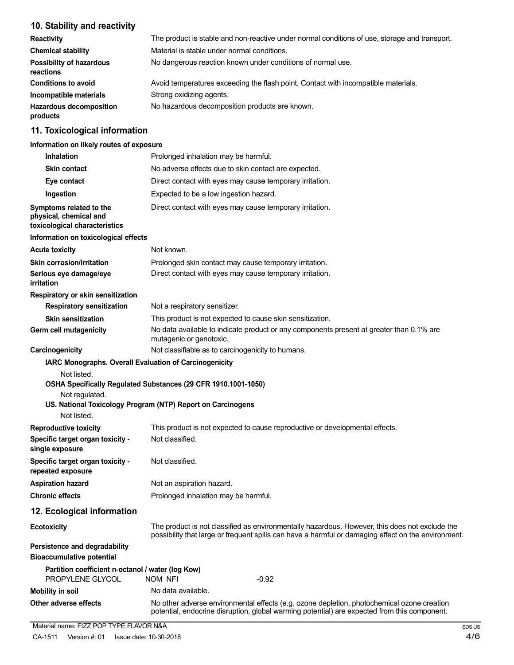# **10. Stability and reactivity**

| <b>Reactivity</b>                            | The product is stable and non-reactive under normal conditions of use, storage and transport. |
|----------------------------------------------|-----------------------------------------------------------------------------------------------|
| <b>Chemical stability</b>                    | Material is stable under normal conditions.                                                   |
| <b>Possibility of hazardous</b><br>reactions | No dangerous reaction known under conditions of normal use.                                   |
| <b>Conditions to avoid</b>                   | Avoid temperatures exceeding the flash point. Contact with incompatible materials.            |
| Incompatible materials                       | Strong oxidizing agents.                                                                      |
| <b>Hazardous decomposition</b><br>products   | No hazardous decomposition products are known.                                                |

# **11. Toxicological information**

#### **Information on likely routes of exposure**

| <b>Inhalation</b>                                                                  | Prolonged inhalation may be harmful.                                                                                                                                                                  |
|------------------------------------------------------------------------------------|-------------------------------------------------------------------------------------------------------------------------------------------------------------------------------------------------------|
| <b>Skin contact</b>                                                                | No adverse effects due to skin contact are expected.                                                                                                                                                  |
| Eye contact                                                                        | Direct contact with eyes may cause temporary irritation.                                                                                                                                              |
| Ingestion                                                                          | Expected to be a low ingestion hazard.                                                                                                                                                                |
| Symptoms related to the<br>physical, chemical and<br>toxicological characteristics | Direct contact with eyes may cause temporary irritation.                                                                                                                                              |
| Information on toxicological effects                                               |                                                                                                                                                                                                       |
| <b>Acute toxicity</b>                                                              | Not known.                                                                                                                                                                                            |
| <b>Skin corrosion/irritation</b>                                                   | Prolonged skin contact may cause temporary irritation.                                                                                                                                                |
| Serious eye damage/eye<br>irritation                                               | Direct contact with eyes may cause temporary irritation.                                                                                                                                              |
| Respiratory or skin sensitization                                                  |                                                                                                                                                                                                       |
| <b>Respiratory sensitization</b>                                                   | Not a respiratory sensitizer.                                                                                                                                                                         |
| <b>Skin sensitization</b>                                                          | This product is not expected to cause skin sensitization.                                                                                                                                             |
| Germ cell mutagenicity                                                             | No data available to indicate product or any components present at greater than 0.1% are<br>mutagenic or genotoxic.                                                                                   |
| Carcinogenicity                                                                    | Not classifiable as to carcinogenicity to humans.                                                                                                                                                     |
| Not listed.<br>Not regulated.<br>Not listed.                                       | OSHA Specifically Regulated Substances (29 CFR 1910.1001-1050)<br>US. National Toxicology Program (NTP) Report on Carcinogens                                                                         |
| <b>Reproductive toxicity</b><br>Specific target organ toxicity -                   | This product is not expected to cause reproductive or developmental effects.<br>Not classified.                                                                                                       |
| single exposure                                                                    |                                                                                                                                                                                                       |
| Specific target organ toxicity -<br>repeated exposure                              | Not classified.                                                                                                                                                                                       |
| <b>Aspiration hazard</b>                                                           | Not an aspiration hazard.                                                                                                                                                                             |
| <b>Chronic effects</b>                                                             | Prolonged inhalation may be harmful.                                                                                                                                                                  |
| 12. Ecological information                                                         |                                                                                                                                                                                                       |
| <b>Ecotoxicity</b>                                                                 | The product is not classified as environmentally hazardous. However, this does not exclude the<br>possibility that large or frequent spills can have a harmful or damaging effect on the environment. |
| Persistence and degradability<br><b>Bioaccumulative potential</b>                  |                                                                                                                                                                                                       |
| Partition coefficient n-octanol / water (log Kow)<br>PROPYLENE GLYCOL              | NOM NFI<br>$-0.92$                                                                                                                                                                                    |
| <b>Mobility in soil</b>                                                            | No data available.                                                                                                                                                                                    |
| Other adverse effects                                                              | No other adverse environmental effects (e.g. ozone depletion, photochemical ozone creation<br>potential, endocrine disruption, global warming potential) are expected from this component.            |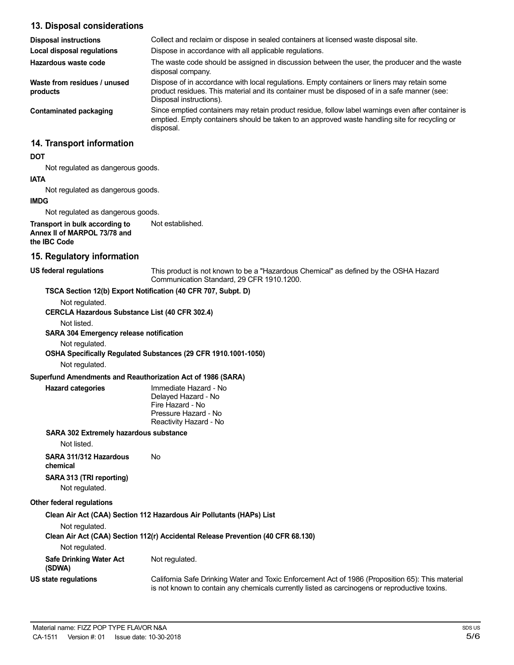#### **13. Disposal considerations**

| <b>Disposal instructions</b>             | Collect and reclaim or dispose in sealed containers at licensed waste disposal site.                                                                                                                                   |
|------------------------------------------|------------------------------------------------------------------------------------------------------------------------------------------------------------------------------------------------------------------------|
| Local disposal regulations               | Dispose in accordance with all applicable regulations.                                                                                                                                                                 |
| Hazardous waste code                     | The waste code should be assigned in discussion between the user, the producer and the waste<br>disposal company.                                                                                                      |
| Waste from residues / unused<br>products | Dispose of in accordance with local regulations. Empty containers or liners may retain some<br>product residues. This material and its container must be disposed of in a safe manner (see:<br>Disposal instructions). |
| Contaminated packaging                   | Since emptied containers may retain product residue, follow label warnings even after container is<br>emptied. Empty containers should be taken to an approved waste handling site for recycling or<br>disposal.       |
| 14. Transport information                |                                                                                                                                                                                                                        |
| <b>DOT</b>                               |                                                                                                                                                                                                                        |
| Not regulated as dangerous goods.        |                                                                                                                                                                                                                        |
| <b>IATA</b>                              |                                                                                                                                                                                                                        |
| Not regulated as dangerous goods.        |                                                                                                                                                                                                                        |
| <b>IMDG</b>                              |                                                                                                                                                                                                                        |
| Not regulated as dangerous goods.        |                                                                                                                                                                                                                        |
| Transport in bulk according to           | Not established.                                                                                                                                                                                                       |

**Annex II of MARPOL 73/78 and the IBC Code**

# **15. Regulatory information**

**US federal regulations** This product is not known to be a "Hazardous Chemical" as defined by the OSHA Hazard Communication Standard, 29 CFR 1910.1200.

#### **TSCA Section 12(b) Export Notification (40 CFR 707, Subpt. D)**

Not regulated.

**CERCLA Hazardous Substance List (40 CFR 302.4)**

Not listed.

#### **SARA 304 Emergency release notification**

Not regulated.

**OSHA Specifically Regulated Substances (29 CFR 1910.1001-1050)**

Not regulated.

#### **Superfund Amendments and Reauthorization Act of 1986 (SARA)**

| Hazard categories |  |  |  |
|-------------------|--|--|--|
|-------------------|--|--|--|

**Hazard categories** Immediate Hazard - No Delayed Hazard - No Fire Hazard - No Pressure Hazard - No Reactivity Hazard - No

#### **SARA 302 Extremely hazardous substance**

Not listed.

**SARA 311/312 Hazardous** No **chemical**

# **SARA 313 (TRI reporting)**

Not regulated.

#### **Other federal regulations**

**Clean Air Act (CAA) Section 112 Hazardous Air Pollutants (HAPs) List** Not regulated. **Clean Air Act (CAA) Section 112(r) Accidental Release Prevention (40 CFR 68.130)** Not regulated. **Safe Drinking Water Act (SDWA) US state regulations** Not regulated. California Safe Drinking Water and Toxic Enforcement Act of 1986 (Proposition 65): This material is not known to contain any chemicals currently listed as carcinogens or reproductive toxins.